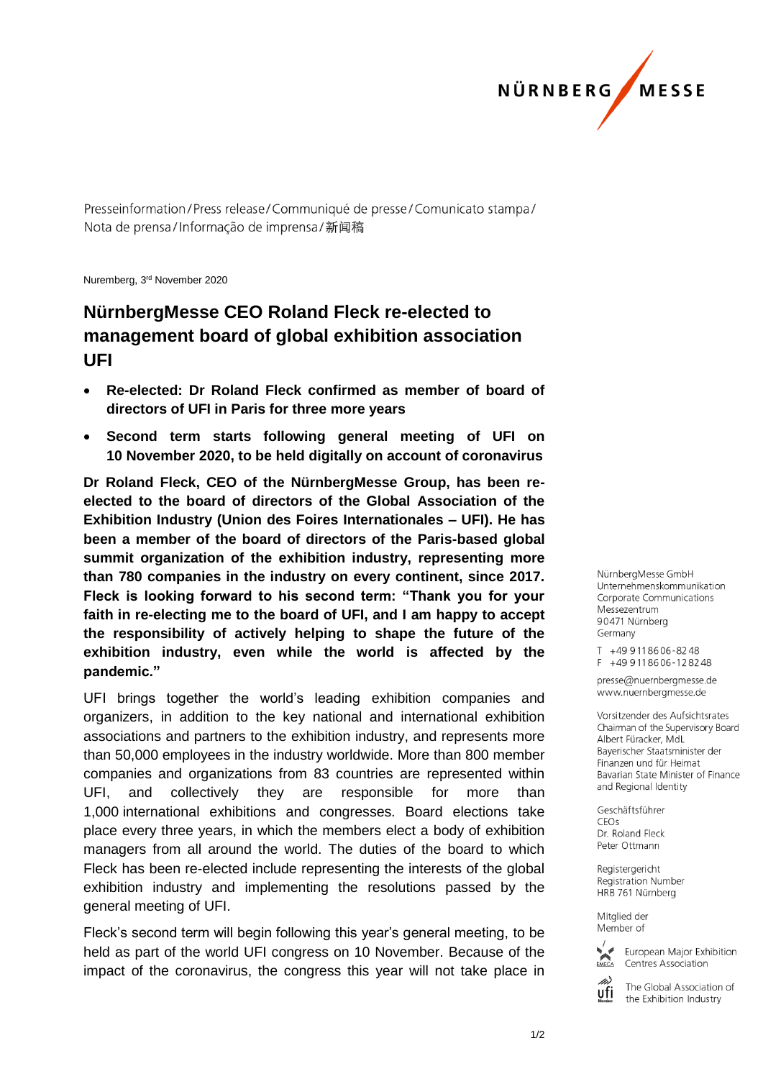

Presseinformation/Press release/Communiqué de presse/Comunicato stampa/ Nota de prensa/Informação de imprensa/新闻稿

Nuremberg, 3 rd November 2020

## **NürnbergMesse CEO Roland Fleck re-elected to management board of global exhibition association UFI**

- **Re-elected: Dr Roland Fleck confirmed as member of board of directors of UFI in Paris for three more years**
- **Second term starts following general meeting of UFI on 10 November 2020, to be held digitally on account of coronavirus**

**Dr Roland Fleck, CEO of the NürnbergMesse Group, has been reelected to the board of directors of the Global Association of the Exhibition Industry (Union des Foires Internationales – UFI). He has been a member of the board of directors of the Paris-based global summit organization of the exhibition industry, representing more than 780 companies in the industry on every continent, since 2017. Fleck is looking forward to his second term: "Thank you for your faith in re-electing me to the board of UFI, and I am happy to accept the responsibility of actively helping to shape the future of the exhibition industry, even while the world is affected by the pandemic."** 

UFI brings together the world's leading exhibition companies and organizers, in addition to the key national and international exhibition associations and partners to the exhibition industry, and represents more than 50,000 employees in the industry worldwide. More than 800 member companies and organizations from 83 countries are represented within UFI, and collectively they are responsible for more than 1,000 international exhibitions and congresses. Board elections take place every three years, in which the members elect a body of exhibition managers from all around the world. The duties of the board to which Fleck has been re-elected include representing the interests of the global exhibition industry and implementing the resolutions passed by the general meeting of UFI.

Fleck's second term will begin following this year's general meeting, to be held as part of the world UFI congress on 10 November. Because of the impact of the coronavirus, the congress this year will not take place in

NürnbergMesse GmbH Unternehmenskommunikation Corporate Communications Messezentrum 90471 Nürnberg Germany

T +49 911 86 06 - 82 48 F +49 911 86 06 - 12 82 48

presse@nuernbergmesse.de www.nuernbergmesse.de

Vorsitzender des Aufsichtsrates Chairman of the Supervisory Board Albert Füracker, MdI Bayerischer Staatsminister der Finanzen und für Heimat Bavarian State Minister of Finance and Regional Identity

Geschäftsführer CEOS Dr. Roland Fleck Peter Ottmann

Registergericht **Registration Number** HRB 761 Nürnberg

Mitglied der Member of



European Major Exhibition Centres Association

ufi

The Global Association of the Exhibition Industry